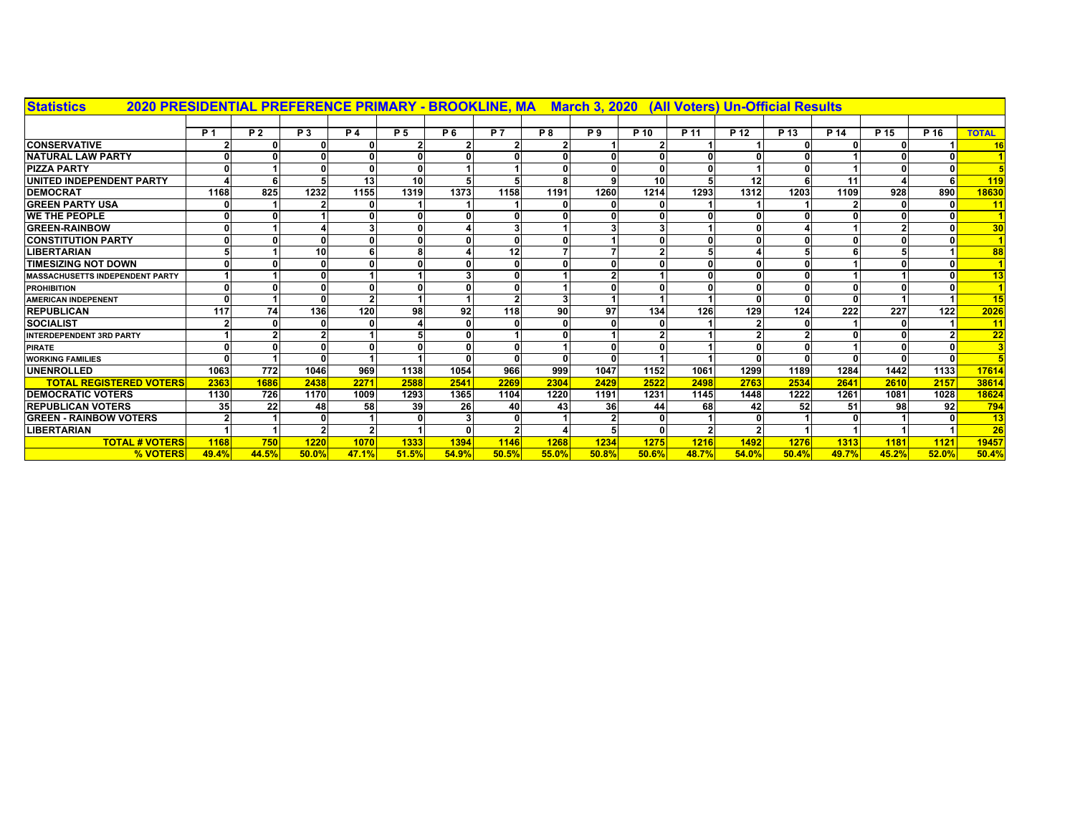| 2020 PRESIDENTIAL PREFERENCE PRIMARY - BROOKLINE, MA                           March 3, 2020<br><b>Statistics</b> |            |                |                |           |                |                |              |           |                |              | (All Voters) Un-Official Results |                 |        |        |        |        |                         |
|-------------------------------------------------------------------------------------------------------------------|------------|----------------|----------------|-----------|----------------|----------------|--------------|-----------|----------------|--------------|----------------------------------|-----------------|--------|--------|--------|--------|-------------------------|
|                                                                                                                   |            |                |                |           |                |                |              |           |                |              |                                  |                 |        |        |        |        |                         |
|                                                                                                                   | <b>P</b> 1 | P <sub>2</sub> | <b>P3</b>      | <b>P4</b> | P <sub>5</sub> | P <sub>6</sub> | <b>P7</b>    | <b>P8</b> | P <sub>9</sub> | P 10         | P 11                             | P <sub>12</sub> | $P$ 13 | $P$ 14 | $P$ 15 | $P$ 16 | <b>TOTAL</b>            |
| <b>CONSERVATIVE</b>                                                                                               |            |                |                |           |                |                |              |           |                |              |                                  |                 |        |        |        |        | 16                      |
| <b>NATURAL LAW PARTY</b>                                                                                          |            |                | $\Omega$       |           | $\mathbf{0}$   |                |              |           | n              | n            | 0                                |                 |        |        |        |        |                         |
| <b>PIZZA PARTY</b>                                                                                                |            |                | $\mathbf{0}$   |           | $\mathbf{0}$   |                |              |           |                | 0            | 0                                |                 |        |        |        |        |                         |
| UNITED INDEPENDENT PARTY                                                                                          |            |                | 5              | 13        | 10             |                |              |           | $\mathbf{9}$   | 10           | 5                                | 12              | 6      | 11     |        | 6      | 119                     |
| <b>DEMOCRAT</b>                                                                                                   | 1168       | 825            | 1232           | 1155      | 1319           | 1373           | 1158         | 1191      | 1260           | 1214         | 1293                             | 1312            | 1203   | 1109   | 928    | 890    | 18630                   |
| <b>GREEN PARTY USA</b>                                                                                            |            |                |                |           |                |                |              |           |                |              |                                  |                 |        |        |        |        | 11                      |
| <b>WE THE PEOPLE</b>                                                                                              |            |                |                |           |                |                |              |           |                |              |                                  |                 |        |        |        |        |                         |
| <b>GREEN-RAINBOW</b>                                                                                              |            |                |                |           | $\mathbf{0}$   |                |              |           |                | 3            |                                  |                 |        |        |        |        | 30                      |
| <b>CONSTITUTION PARTY</b>                                                                                         |            |                | $\mathbf{0}$   |           | $\Omega$       |                | $\Omega$     |           |                | 0            | $\mathbf{0}$                     |                 |        |        |        |        |                         |
| <b>LIBERTARIAN</b>                                                                                                |            |                | 10             |           | 8              |                | 12           |           |                | $\mathbf{2}$ | 5                                |                 |        |        |        |        | 88                      |
| <b>TIMESIZING NOT DOWN</b>                                                                                        |            |                | $\mathbf{0}$   |           |                |                | 0            |           |                |              | $\mathbf{0}$                     |                 |        |        |        |        |                         |
| <b>MASSACHUSETTS INDEPENDENT PARTY</b>                                                                            |            |                | $\mathbf{0}$   |           |                |                | 0            |           |                |              | $\Omega$                         |                 |        |        |        |        | 13                      |
| <b>PROHIBITION</b>                                                                                                |            |                | $\Omega$       |           | 0              |                |              |           |                | 0            |                                  |                 |        |        |        |        |                         |
| <b>AMERICAN INDEPENENT</b>                                                                                        |            |                | $\mathbf{0}$   |           |                |                |              |           |                |              |                                  |                 |        |        |        |        | <b>15</b>               |
| <b>REPUBLICAN</b>                                                                                                 | 117        | 74             | 136            | 120       | 98             | 92             | 118          | 90        | 97             | 134          | 126                              | 129             | 124    | 222    | 227    | 122    | 2026                    |
| <b>SOCIALIST</b>                                                                                                  |            |                | 0              |           |                |                |              |           |                |              |                                  |                 |        |        |        |        | 11                      |
| <b>INTERDEPENDENT 3RD PARTY</b>                                                                                   |            |                |                |           |                |                |              |           |                |              |                                  |                 |        |        |        |        | 22                      |
| <b>PIRATE</b>                                                                                                     |            |                | $\mathbf{0}$   |           |                |                |              |           |                |              |                                  |                 |        |        |        |        | $\overline{\mathbf{3}}$ |
| <b>WORKING FAMILIES</b>                                                                                           |            |                | $\mathbf{0}$   |           |                |                |              |           | $\Omega$       |              |                                  |                 |        |        |        | - 0    |                         |
| <b>UNENROLLED</b>                                                                                                 | 1063       | 772            | 1046           | 969       | 1138           | 1054           | 966          | 999       | 1047           | 1152         | 1061                             | 1299            | 1189   | 1284   | 1442   | 1133   | 17614                   |
| <b>TOTAL REGISTERED VOTERS</b>                                                                                    | 2363       | 1686           | 2438           | 2271      | 2588           | 2541           | 2269         | 2304      | 2429           | 2522         | 2498                             | 2763            | 2534   | 2641   | 2610   | 2157   | 38614                   |
| <b>DEMOCRATIC VOTERS</b>                                                                                          | 1130       | 726            | 1170           | 1009      | 1293           | 1365           | 1104         | 1220      | 1191           | 1231         | 1145                             | 1448            | 1222   | 1261   | 1081   | 1028   | 18624                   |
| <b>REPUBLICAN VOTERS</b>                                                                                          | 35         | 22             | 48             | 58        | 39             | 26             | 40           | 43        | <b>36</b>      | 44           | 68                               | 42              | 52     | 51     | 98     | 92     | 794                     |
| <b>GREEN - RAINBOW VOTERS</b>                                                                                     |            |                | $\mathbf{0}$   |           |                |                | $\Omega$     |           |                | 0            |                                  |                 |        |        |        |        | 13                      |
| <b>LIBERTARIAN</b>                                                                                                |            |                | $\overline{2}$ |           |                |                | $\mathbf{2}$ |           |                | 0            | $\mathbf{2}$                     |                 |        |        |        |        | 26                      |
| <b>TOTAL # VOTERS</b>                                                                                             | 1168       | 750            | 1220           | 1070      | 1333           | 1394           | 1146         | 1268      | 1234           | 1275         | 1216                             | 1492            | 1276   | 1313   | 1181   | 1121   | 19457                   |
| % VOTERS                                                                                                          | 49.4%      | 44.5%          | 50.0%          | 47.1%     | 51.5%          | 54.9%          | 50.5%        | 55.0%     | 50.8%          | 50.6%        | 48.7%                            | 54.0%           | 50.4%  | 49.7%  | 45.2%  | 52.0%  | 50.4%                   |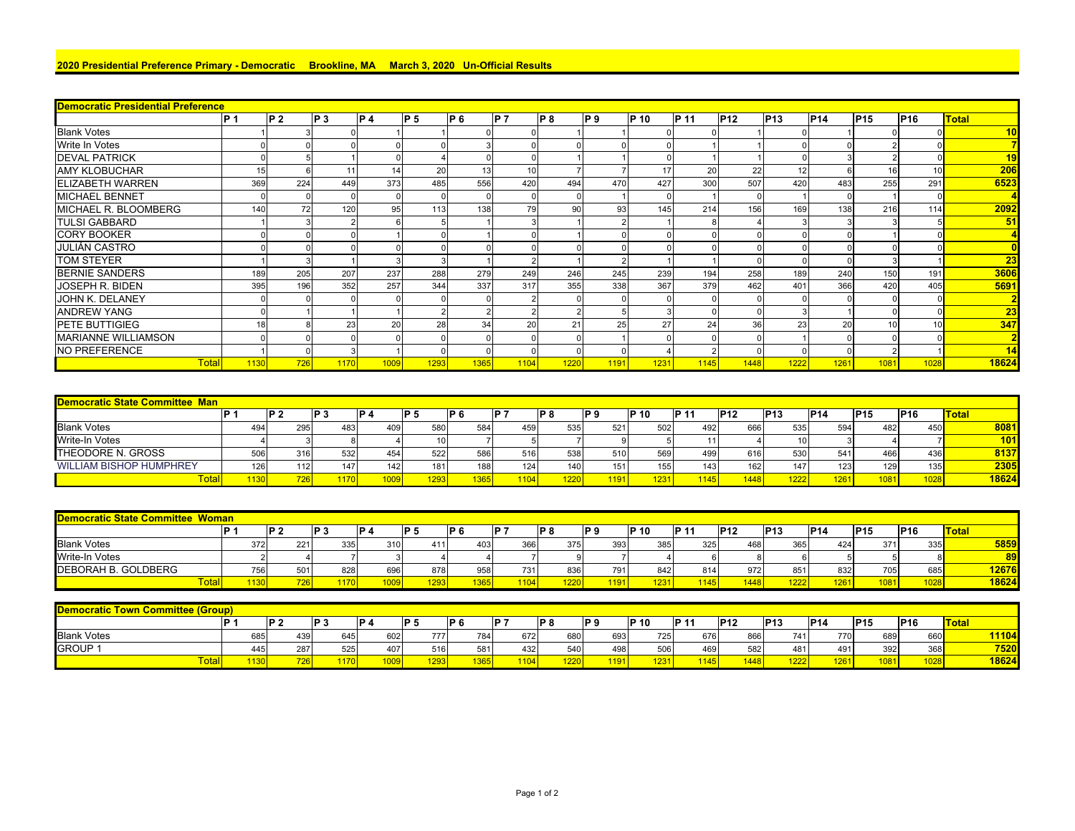## **2020 Presidential Preference Primary - Democratic Brookline, MA March 3, 2020 Un-Official Results**

| <b>Democratic Presidential Preference</b> |      |      |                 |                 |                |                 |      |      |      |             |       |                 |                 |            |            |                 |              |
|-------------------------------------------|------|------|-----------------|-----------------|----------------|-----------------|------|------|------|-------------|-------|-----------------|-----------------|------------|------------|-----------------|--------------|
|                                           | IP 1 | IP 2 | IP <sub>3</sub> | P <sub>4</sub>  | P <sub>5</sub> | IP 6            | IP 7 | IP 8 | IP 9 | <b>P</b> 10 | IP 11 | P <sub>12</sub> | P <sub>13</sub> | <b>P14</b> | <b>P15</b> | P <sub>16</sub> | <b>Total</b> |
| <b>Blank Votes</b>                        |      |      |                 |                 |                |                 |      |      |      |             |       |                 |                 |            |            |                 | 10           |
| <b>Write In Votes</b>                     |      |      |                 |                 |                |                 |      |      |      |             |       |                 |                 |            |            |                 |              |
| <b>DEVAL PATRICK</b>                      |      |      |                 |                 |                |                 |      |      |      |             |       |                 |                 |            |            |                 | 19           |
| <b>AMY KLOBUCHAR</b>                      | 15   |      |                 | 14              | 20             | 13 <sub>1</sub> |      |      |      | 17          | 20    | 22              | 12              |            |            |                 | 206          |
| <b>ELIZABETH WARREN</b>                   | 369  | 224  | 449             | 373             | 485            | 556             | 420  | 494  | 470  | 427         | 300   | 507             | 420             | 483        | 255        | 291             | 6523         |
| <b>MICHAEL BENNET</b>                     |      |      |                 |                 |                |                 |      |      |      |             |       |                 |                 |            |            |                 |              |
| MICHAEL R. BLOOMBERG                      | 140  | 72   | 120             | 95 <sub>1</sub> | 113            | 138             | 79   | 90   | 93   | 145         | 214   | 156             | 169             | 138        | 216        | 114             | 2092         |
| <b>TULSI GABBARD</b>                      |      |      |                 |                 |                |                 |      |      |      |             |       |                 |                 |            |            |                 | 51           |
| <b>CORY BOOKER</b>                        |      |      |                 |                 |                |                 |      |      |      |             |       |                 |                 |            |            |                 |              |
| JULIÁN CASTRO                             |      |      |                 |                 |                |                 |      |      |      |             |       |                 |                 |            |            |                 |              |
| <b>TOM STEYER</b>                         |      |      |                 |                 |                |                 |      |      |      |             |       |                 |                 |            |            |                 | 23           |
| <b>BERNIE SANDERS</b>                     | 189  | 205  | 207             | 237             | 288            | 279             | 249  | 246  | 245  | 239         | 194   | 258             | 189             | 240        | 150        | 191             | 3606         |
| JOSEPH R. BIDEN                           | 395  | 196  | 352             | 257             | 344            | 337             | 317  | 355  | 338  | 367         | 379   | 462             | 401             | 366        | 420        | 405             | 5691         |
| JOHN K. DELANEY                           |      |      |                 |                 |                |                 |      |      |      |             |       |                 |                 |            |            |                 |              |
| <b>ANDREW YANG</b>                        |      |      |                 |                 |                |                 |      |      |      |             |       |                 |                 |            |            |                 | 23           |
| <b>PETE BUTTIGIEG</b>                     | 18   |      | 23              | 20              | 28             | 34              | 20   | 21   | 25   | 27          | 24    | 36              | 23              | 20         |            |                 | 347          |
| <b>MARIANNE WILLIAMSON</b>                |      |      |                 |                 |                |                 |      |      |      |             |       |                 |                 |            |            |                 |              |
| <b>NO PREFERENCE</b>                      |      |      |                 |                 |                |                 |      |      |      |             |       |                 |                 |            |            |                 | 14           |
| <b>Total</b>                              | 1130 | 726  | 1170            | 1009            | 1293           | 1365            | 1104 | 1220 | 1191 | 1231        | 1145  | 1448            | 1222            | 1261       | 1081       | 1028            | 18624        |

| <b>Democratic State Committee Man</b> |       |                |      |                 |                 |      |      |                |       |       |      |                 |      |             |            |            |                  |
|---------------------------------------|-------|----------------|------|-----------------|-----------------|------|------|----------------|-------|-------|------|-----------------|------|-------------|------------|------------|------------------|
|                                       | ID.   | P <sub>2</sub> | ID 1 | ID <sub>A</sub> | ID 5            | IP 6 | D.   | P <sub>8</sub> | ID G  | IP 10 | IP 1 | P <sub>12</sub> | P13  | <b>IP14</b> | <b>P15</b> | <b>P16</b> | <b>Total</b>     |
| <b>Blank Votes</b>                    | 494   | 295            | 483  | 409             | 58 <sub>C</sub> | 584  | 459  | 535            | 521   | 502   | 492  | 666             | 535  | 594         | 482        | 450        | 8081             |
| <b>Write-In Votes</b>                 |       |                |      |                 |                 |      |      |                |       |       |      |                 |      |             |            |            | $\overline{101}$ |
| <b>THEODORE N. GROSS</b>              | 506   | 316            | 532  | 454             | 522             | 586  | 516  | 538            | 510   | 569   | 499  | 616             | 530  | 541         | 466        | 436        | 8137             |
| <b>WILLIAM BISHOP HUMPHREY</b>        | 126   | 112            | 147  | 142             | 181             | 188  | 124  | 140            | 151   | 155   | 143  | 162             | 147. | 123         | 129        | 135        | 2305             |
| ⊺otal                                 | 1130. | 726            | 1170 | 1009            | 1293            | 365. | 1104 | 1220           | 1191. | 231   | 1145 | 1448            | 1222 | 1261        | 1081       | 1028       | 18624            |

| Democratic State Committee Woman |     |                  |      |      |      |      |       |      |       |       |              |            |             |             |                  |            |              |
|----------------------------------|-----|------------------|------|------|------|------|-------|------|-------|-------|--------------|------------|-------------|-------------|------------------|------------|--------------|
|                                  | D   | D                | IP 3 | 1D A | י כו | IP 6 | IP '  | IP 8 | ID 9  | IP 10 | <b>IP 11</b> | <b>P12</b> | <b>IP13</b> | <b>IP14</b> | <b>P15</b>       | <b>P16</b> | <b>Total</b> |
| <b>Blank Votes</b>               | 372 | 221              | 335  | 310  | 411  | 403  | 366   | 375  | 393   | 385   | 325          | 468        | 365         | 424         | 371              | 335        | 5859         |
| <b>Write-In Votes</b>            |     |                  |      |      |      |      |       |      |       |       |              |            |             |             |                  |            |              |
| <b>IDEBORAH B. GOLDBERG</b>      | 756 | 501 <sub>1</sub> | 828  | 696  | 878  | 958  | 731   | 836  | 7911  | 842   | 814          | 972        | 851         | 832         | 705              | 685        | 12676        |
| $\sim$<br>Total                  |     |                  | 1176 | 1009 | 293  | 365  | 11041 | 220  | 1191. | 231   | 1145.        | 1448       | 1222        | 261         | 108 <sup>1</sup> | 10281      | 18624        |

| mittee (Group)<br><b>Democratic Town Comn</b>                                                                                                                                             |  |         |     |                   |      |      |      |        |      |      |             |       |             |      |     |      |      |       |
|-------------------------------------------------------------------------------------------------------------------------------------------------------------------------------------------|--|---------|-----|-------------------|------|------|------|--------|------|------|-------------|-------|-------------|------|-----|------|------|-------|
| <b>P15</b><br>P <sub>16</sub><br><b>P12</b><br><b>P13</b><br><b>Total</b><br><b>P14</b><br>ID '<br><u>י סו</u><br>ID 1<br>ID<br>IP 10<br>ID 5<br>ּםו<br>ID.<br>ID 0<br>1 D G<br><u>ю.</u> |  |         |     |                   |      |      |      |        |      |      |             |       |             |      |     |      |      |       |
| <b>Blank Votes</b>                                                                                                                                                                        |  | 685     | 439 | 645               | 602  | 777  | 784  | 672    | 680  | 693  | <b>7251</b> | 676   | 866         | 741  | 770 | 689  | 660  | 11104 |
| <b>GROUP</b>                                                                                                                                                                              |  | 445     | 287 | 525               | 4071 | 516  | 581  | 432    | 540  | 498  | 506         | 4691  | 582         |      | 491 | 392  | 368  | 7520  |
| Total                                                                                                                                                                                     |  | $-120.$ | '26 | 44.70<br>21 I U L | 1009 | 1293 | 1365 | $-404$ | 1220 | 1191 | 1231        | 1145. | <b>1448</b> | 1222 | 261 | 1081 | 1028 | 18624 |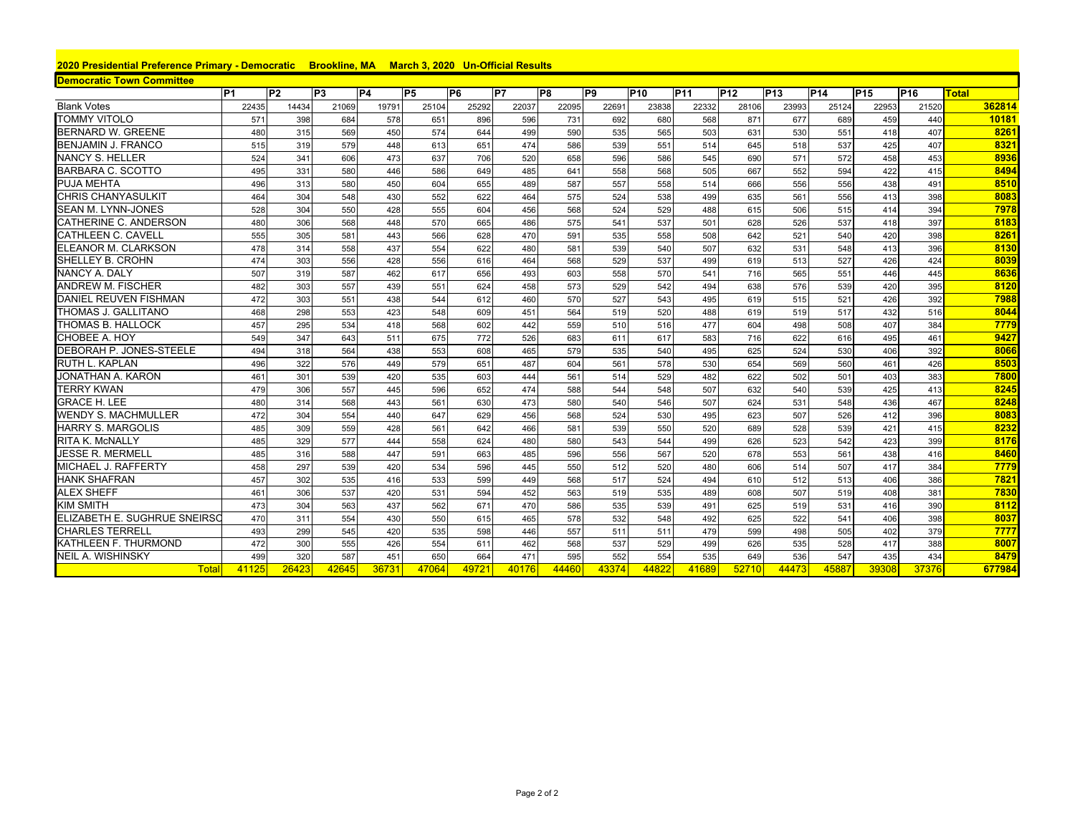## **2020 Presidential Preference Primary - Democratic Brookline, MA March 3, 2020 Un-Official Results**

| <b>Democratic Town Committee</b> |                |                |                |           |                |                |       |       |                |            |            |            |            |                 |                 |                 |        |
|----------------------------------|----------------|----------------|----------------|-----------|----------------|----------------|-------|-------|----------------|------------|------------|------------|------------|-----------------|-----------------|-----------------|--------|
|                                  | P <sub>1</sub> | P <sub>2</sub> | P <sub>3</sub> | <b>P4</b> | P <sub>5</sub> | P <sub>6</sub> | P7    | P8    | P <sub>9</sub> | <b>P10</b> | <b>P11</b> | <b>P12</b> | <b>P13</b> | P <sub>14</sub> | P <sub>15</sub> | P <sub>16</sub> | Total  |
| <b>Blank Votes</b>               | 22435          | 14434          | 21069          | 19791     | 25104          | 25292          | 22037 | 22095 | 22691          | 23838      | 22332      | 28106      | 23993      | 25124           | 22953           | 21520           | 362814 |
| <b>TOMMY VITOLO</b>              | 571            | 398            | 684            | 578       | 651            | 896            | 596   | 731   | 692            | 680        | 568        | 871        | 677        | 689             | 459             | 440             | 10181  |
| <b>BERNARD W. GREENE</b>         | 480            | 315            | 569            | 450       | 574            | 644            | 499   | 590   | 535            | 565        | 503        | 631        | 530        | 551             | 418             | 407             | 8261   |
| BENJAMIN J. FRANCO               | 515            | 319            | 579            | 448       | 613            | 651            | 474   | 586   | 539            | 551        | 514        | 645        | 518        | 537             | 425             | 407             | 8321   |
| NANCY S. HELLER                  | 524            | 341            | 606            | 473       | 637            | 706            | 520   | 658   | 596            | 586        | 545        | 690        | 571        | 572             | 458             | 453             | 8936   |
| <b>BARBARA C. SCOTTO</b>         | 495            | 331            | 580            | 446       | 586            | 649            | 485   | 641   | 558            | 568        | 505        | 667        | 552        | 594             | 422             | 415             | 8494   |
| <b>PUJA MEHTA</b>                | 496            | 313            | 580            | 450       | 604            | 655            | 489   | 587   | 557            | 558        | 514        | 666        | 556        | 556             | 438             | 491             | 8510   |
| <b>CHRIS CHANYASULKIT</b>        | 464            | 304            | 548            | 430       | 552            | 622            | 464   | 575   | 524            | 538        | 499        | 635        | 561        | 556             | 413             | 398             | 8083   |
| <b>SEAN M. LYNN-JONES</b>        | 528            | 304            | 550            | 428       | 555            | 604            | 456   | 568   | 524            | 529        | 488        | 615        | 506        | 515             | 414             | 394             | 7978   |
| CATHERINE C. ANDERSON            | 480            | 306            | 568            | 448       | 570            | 665            | 486   | 575   | 541            | 537        | 501        | 628        | 526        | 537             | 418             | 397             | 8183   |
| <b>CATHLEEN C. CAVELL</b>        | 555            | 305            | 581            | 443       | 566            | 628            | 470   | 591   | 535            | 558        | 508        | 642        | 521        | 540             | 420             | 398             | 8261   |
| ELEANOR M. CLARKSON              | 478            | 314            | 558            | 437       | 554            | 622            | 480   | 581   | 539            | 540        | 507        | 632        | 531        | 548             | 413             | 396             | 8130   |
| SHELLEY B. CROHN                 | 474            | 303            | 556            | 428       | 556            | 616            | 464   | 568   | 529            | 537        | 499        | 619        | 513        | 527             | 426             | 424             | 8039   |
| <b>NANCY A. DALY</b>             | 507            | 319            | 587            | 462       | 617            | 656            | 493   | 603   | 558            | 570        | 541        | 716        | 565        | 551             | 446             | 445             | 8636   |
| <b>ANDREW M. FISCHER</b>         | 482            | 303            | 557            | 439       | 551            | 624            | 458   | 573   | 529            | 542        | 494        | 638        | 576        | 539             | 420             | 395             | 8120   |
| <b>DANIEL REUVEN FISHMAN</b>     | 472            | 303            | 551            | 438       | 544            | 612            | 460   | 570   | 527            | 543        | 495        | 619        | 515        | 521             | 426             | 392             | 7988   |
| THOMAS J. GALLITANO              | 468            | 298            | 553            | 423       | 548            | 609            | 451   | 564   | 519            | 520        | 488        | 619        | 519        | 517             | 432             | 516             | 8044   |
| <b>THOMAS B. HALLOCK</b>         | 457            | 295            | 534            | 418       | 568            | 602            | 442   | 559   | 510            | 516        | 477        | 604        | 498        | 508             | 407             | 384             | 7779   |
| CHOBEE A. HOY                    | 549            | 347            | 643            | 511       | 675            | 772            | 526   | 683   | 611            | 617        | 583        | 716        | 622        | 616             | 495             | 461             | 9427   |
| DEBORAH P. JONES-STEELE          | 494            | 318            | 564            | 438       | 553            | 608            | 465   | 579   | 535            | 540        | 495        | 625        | 524        | 530             | 406             | 392             | 8066   |
| <b>RUTH L. KAPLAN</b>            | 496            | 322            | 576            | 449       | 579            | 651            | 487   | 604   | 561            | 578        | 530        | 654        | 569        | 560             | 461             | 426             | 8503   |
| JONATHAN A. KARON                | 461            | 301            | 539            | 420       | 535            | 603            | 444   | 561   | 514            | 529        | 482        | 622        | 502        | 501             | 403             | 383             | 7800   |
| <b>TERRY KWAN</b>                | 479            | 306            | 557            | 445       | 596            | 652            | 474   | 588   | 544            | 548        | 507        | 632        | 540        | 539             | 425             | 413             | 8245   |
| <b>GRACE H. LEE</b>              | 480            | 314            | 568            | 443       | 561            | 630            | 473   | 580   | 540            | 546        | 507        | 624        | 531        | 548             | 436             | 467             | 8248   |
| <b>WENDY S. MACHMULLER</b>       | 472            | 304            | 554            | 440       | 647            | 629            | 456   | 568   | 524            | 530        | 495        | 623        | 507        | 526             | 412             | 396             | 8083   |
| <b>HARRY S. MARGOLIS</b>         | 485            | 309            | 559            | 428       | 561            | 642            | 466   | 581   | 539            | 550        | 520        | 689        | 528        | 539             | 421             | 415             | 8232   |
| <b>RITA K. MCNALLY</b>           | 485            | 329            | 577            | 444       | 558            | 624            | 480   | 580   | 543            | 544        | 499        | 626        | 523        | 542             | 423             | 399             | 8176   |
| <b>JESSE R. MERMELL</b>          | 485            | 316            | 588            | 447       | 591            | 663            | 485   | 596   | 556            | 567        | 520        | 678        | 553        | 561             | 438             | 416             | 8460   |
| MICHAEL J. RAFFERTY              | 458            | 297            | 539            | 420       | 534            | 596            | 445   | 550   | 512            | 520        | 480        | 606        | 514        | 507             | 417             | 384             | 7779   |
| <b>HANK SHAFRAN</b>              | 457            | 302            | 535            | 416       | 533            | 599            | 449   | 568   | 517            | 524        | 494        | 610        | 512        | 513             | 406             | 386             | 7821   |
| <b>ALEX SHEFF</b>                | 461            | 306            | 537            | 420       | 531            | 594            | 452   | 563   | 519            | 535        | 489        | 608        | 507        | 519             | 408             | 381             | 7830   |
| <b>KIM SMITH</b>                 | 473            | 304            | 563            | 437       | 562            | 671            | 470   | 586   | 535            | 539        | 491        | 625        | 519        | 531             | 416             | 390             | 8112   |
| ELIZABETH E. SUGHRUE SNEIRSC     | 470            | 311            | 554            | 430       | 550            | 615            | 465   | 578   | 532            | 548        | 492        | 625        | 522        | 541             | 406             | 398             | 8037   |
| <b>CHARLES TERRELL</b>           | 493            | 299            | 545            | 420       | 535            | 598            | 446   | 557   | 511            | 511        | 479        | 599        | 498        | 505             | 402             | 379             | 7777   |
| <b>KATHLEEN F. THURMOND</b>      | 472            | 300            | 555            | 426       | 554            | 611            | 462   | 568   | 537            | 529        | 499        | 626        | 535        | 528             | 417             | 388             | 8007   |
| <b>NEIL A. WISHINSKY</b>         | 499            | 320            | 587            | 451       | 650            | 664            | 471   | 595   | 552            | 554        | 535        | 649        | 536        | 547             | 435             | 434             | 8479   |
| <b>Total</b>                     | 41125          | 26423          | 42645          | 36731     | 47064          | 49721          | 40176 | 44460 | 43374          | 44822      | 41689      | 52710      | 44473      | 45887           | 39308           | 37376           | 677984 |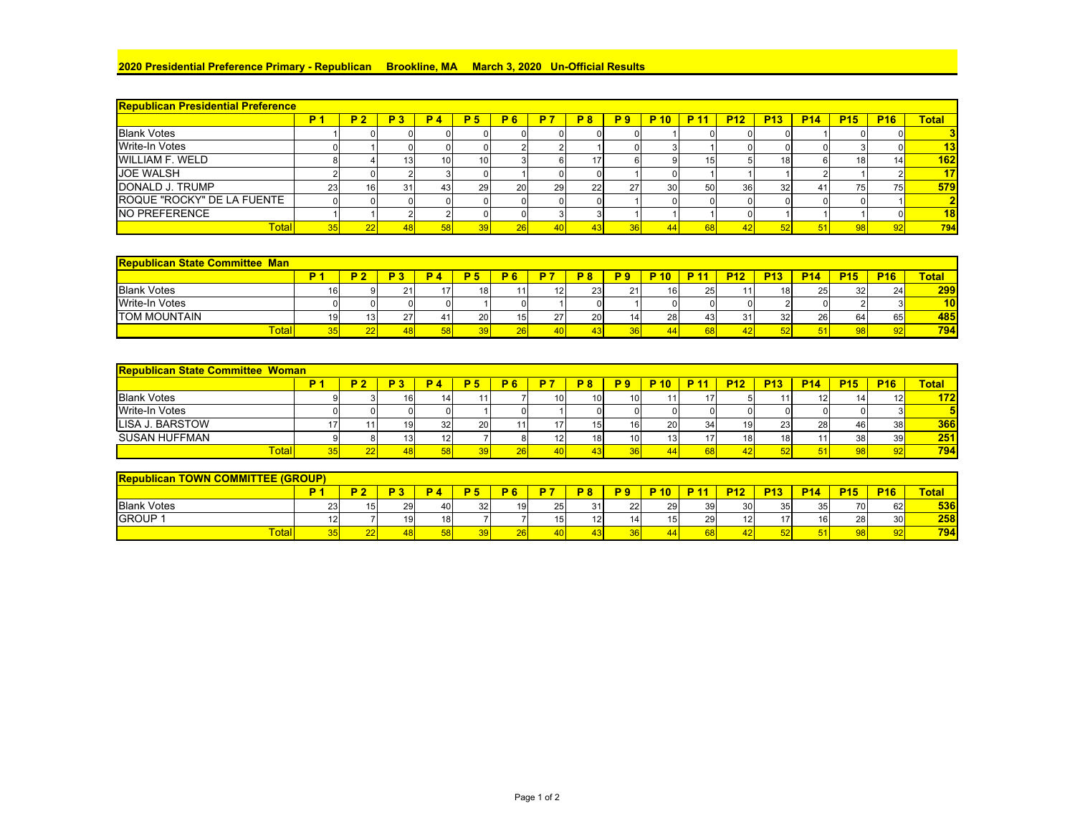## **2020 Presidential Preference Primary - Republican Brookline, MA March 3, 2020 Un-Official Results**

| <b>Republican Presidential Preference</b> |    |                 |                 |                |           |                |    |           |                |                 |      |            |                 |            |            |                 |                |
|-------------------------------------------|----|-----------------|-----------------|----------------|-----------|----------------|----|-----------|----------------|-----------------|------|------------|-----------------|------------|------------|-----------------|----------------|
|                                           | D. | P <sub>2</sub>  | <b>P3</b>       | P <sub>4</sub> | <b>P5</b> | P <sub>6</sub> | P7 | <b>P8</b> | P <sub>9</sub> | <b>P</b> 10     | P 11 | <b>P12</b> | <b>P13</b>      | <b>P14</b> | <b>P15</b> | <b>P16</b>      | <b>Total</b>   |
| <b>Blank Votes</b>                        |    |                 |                 |                |           |                |    |           |                |                 |      |            |                 |            |            |                 |                |
| <b>Write-In Votes</b>                     |    |                 |                 |                |           |                |    |           |                |                 |      |            |                 |            |            |                 | 13             |
| <b>WILLIAM F. WELD</b>                    |    |                 |                 | 10             | 10        |                |    |           |                |                 |      |            | 18 <sup>1</sup> |            |            | 14 <sub>1</sub> | 162            |
| <b>JOE WALSH</b>                          |    |                 |                 |                |           |                |    |           |                |                 |      |            |                 |            |            |                 | 17             |
| DONALD J. TRUMP                           | 23 | 16 <sup>1</sup> | 31 <sub>1</sub> | 43             | 29        | <b>20</b>      | 29 | 22        |                | 30 <sup>1</sup> | 50   | 36         | 32 <sub>l</sub> |            | 75         | 75 <sub>h</sub> | 579            |
| ROQUE "ROCKY" DE LA FUENTE                |    |                 |                 |                |           |                |    |           |                |                 |      |            |                 |            |            |                 | $\overline{2}$ |
| <b>NO PREFERENCE</b>                      |    |                 |                 |                |           |                |    |           |                |                 |      |            |                 |            |            |                 | 18             |
| <b>Total</b>                              |    |                 |                 |                |           |                |    |           |                |                 |      |            |                 |            |            |                 | 794            |

| <b>Republican State Committee Man</b> |                 |     |            |    |                 |    |           |                 |                 |                                |            |                 |            |            |            |                 |
|---------------------------------------|-----------------|-----|------------|----|-----------------|----|-----------|-----------------|-----------------|--------------------------------|------------|-----------------|------------|------------|------------|-----------------|
|                                       |                 |     | <b>P</b> A |    |                 |    | <b>DO</b> |                 | D 4<br>10       | D <sub>4</sub>                 | <b>P12</b> | <b>P13</b>      | <b>P14</b> | <b>P15</b> | <b>P16</b> | <b>Total</b>    |
| <b>Blank Votes</b>                    | ດເ              | ∠ । |            | 18 |                 | 12 | 23        | 21              | 16 <sub>1</sub> | $\Omega$<br>ںے                 |            | 18 <sub>1</sub> | 25         | 32         | 24         | 299             |
| <b>Write-In Votes</b>                 |                 |     |            |    |                 |    |           |                 |                 |                                | ΩL         |                 |            |            |            | 10 <sub>l</sub> |
| <b>TOM MOUNTAIN</b>                   | 13 <sup>1</sup> |     |            | 20 | 15 <sub>1</sub> | 27 | 20        | 14              | 28              | $\overline{\phantom{a}}$<br>40 |            | 32              | 26         | 64         | 65         | 485             |
| <b>Total</b>                          | --              | 48  |            |    | 26I             |    |           | 36 <sub>1</sub> |                 |                                | 42         |                 |            |            | 92         | 794             |

| <b>Republican State Committee Woman</b> |   |                 |                 |    |     |                 |                 |                 |      |             |                 |            |            |                 |                 |              |
|-----------------------------------------|---|-----------------|-----------------|----|-----|-----------------|-----------------|-----------------|------|-------------|-----------------|------------|------------|-----------------|-----------------|--------------|
|                                         | D |                 | <b>P4</b>       |    | ю   | D 7             | P8              | P 9             | P 10 | <b>D</b> 11 | <b>P12</b>      | <b>P13</b> | <b>P14</b> | <b>P15</b>      | <b>P16</b>      | <b>Total</b> |
| <b>Blank Votes</b>                      |   | 16 <sub>1</sub> |                 |    |     | 10 <sup>1</sup> | 10 <sup>1</sup> | 10 <sub>1</sub> |      |             |                 |            |            |                 |                 | 172          |
| <b>Write-In Votes</b>                   |   |                 |                 |    |     |                 |                 |                 |      |             |                 |            |            |                 |                 |              |
| LISA J. BARSTOW                         |   | 19              | 32 <sub>l</sub> | 20 |     |                 |                 | 16              | 20   | ۹۸          | 19              | 23         | 28         | 46              | 38 <sup>1</sup> | 366          |
| <b>SUSAN HUFFMAN</b>                    |   | 13 <sub>1</sub> | 12              |    |     | 12              | 18              | 101             | 13   |             | 18 <sub>1</sub> | 18         |            | 38              | 39              | 251          |
| <b>Total</b>                            |   |                 |                 |    | 26F |                 |                 | 36              |      |             |                 |            |            | 98 <sup>1</sup> |                 | 794          |

| <b>TTEE (GROUP)</b><br><b>Republican</b><br><b>TOWN</b><br><u>I COMMI</u>                                                        |  |                 |     |           |    |            |     |                |      |                 |                 |                 |                 |          |                 |                 |     |
|----------------------------------------------------------------------------------------------------------------------------------|--|-----------------|-----|-----------|----|------------|-----|----------------|------|-----------------|-----------------|-----------------|-----------------|----------|-----------------|-----------------|-----|
| Total<br><b>P13</b><br><b>P16</b><br>P <sub>10</sub><br>P 11<br><b>P12</b><br><b>P14</b><br><b>P15</b><br>D.<br>D.<br>פ ם<br>D 0 |  |                 |     |           |    |            |     |                |      |                 |                 |                 |                 |          |                 |                 |     |
| <b>Blank Votes</b>                                                                                                               |  | 15 <sup>1</sup> | 29  | 40        | 32 | 19         | 25  | 24<br>ບ≀       | 22   | 29              | 39 <sub>l</sub> | 30 <sup>1</sup> | 35 <sub>1</sub> | 25<br>ັບ | 70              | 62              | 536 |
| <b>GROUP</b>                                                                                                                     |  |                 | 19  | <b>40</b> |    |            | וכו | $\overline{ }$ |      | 15 <sub>1</sub> | <b>29</b>       | 12              |                 | 16       | 28              | 30 <sub>l</sub> | 258 |
| Total                                                                                                                            |  | $\sim$<br>ZZ    | 481 |           |    | <b>ZOF</b> | 40  |                | 36 I |                 |                 | 42              | 5ZI             |          | 98 <sub>1</sub> | 92              | 794 |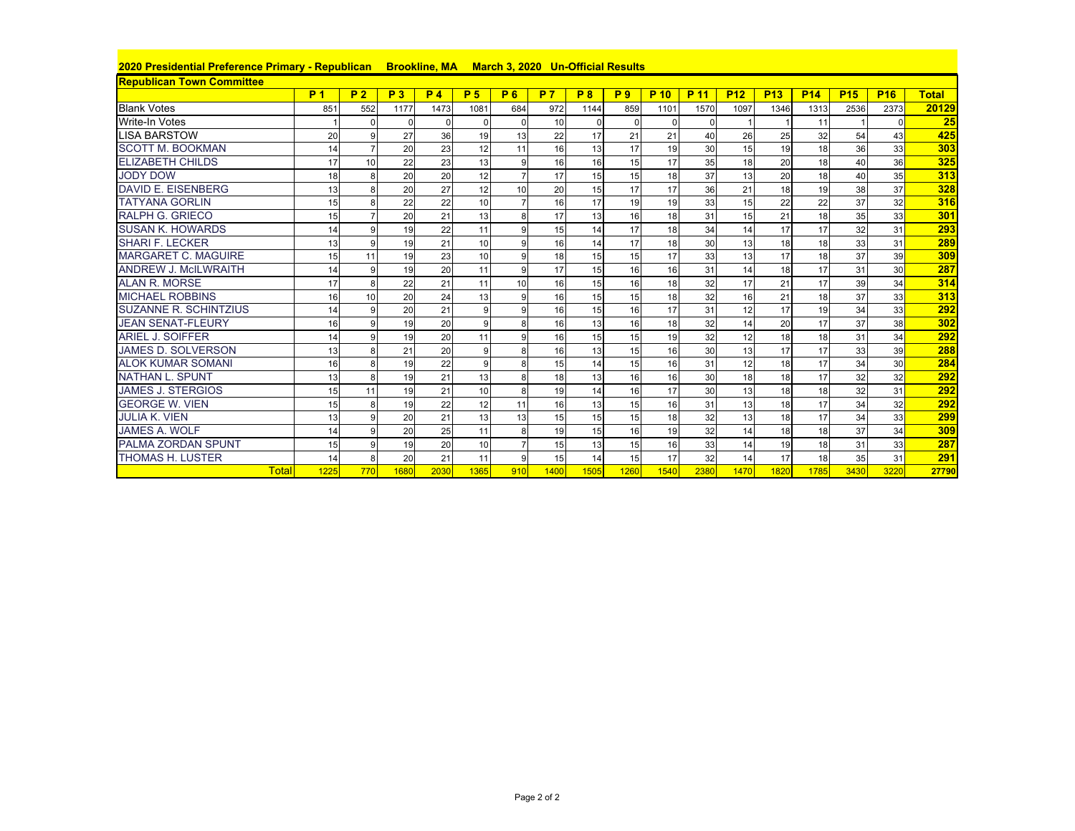| 2020 Presidential Preference Primary - Republican Brookline, MA March 3, 2020 Un-Official Results |                |                |                |                |                |                |                |           |                |          |          |            |            |            |            |            |              |
|---------------------------------------------------------------------------------------------------|----------------|----------------|----------------|----------------|----------------|----------------|----------------|-----------|----------------|----------|----------|------------|------------|------------|------------|------------|--------------|
| <b>Republican Town Committee</b>                                                                  |                |                |                |                |                |                |                |           |                |          |          |            |            |            |            |            |              |
|                                                                                                   | P <sub>1</sub> | P <sub>2</sub> | P <sub>3</sub> | P <sub>4</sub> | P <sub>5</sub> | <b>P6</b>      | P <sub>7</sub> | <b>P8</b> | P <sub>9</sub> | P 10     | P 11     | <b>P12</b> | <b>P13</b> | <b>P14</b> | <b>P15</b> | <b>P16</b> | <b>Total</b> |
| <b>Blank Votes</b>                                                                                | 851            | 552            | 1177           | 1473           | 1081           | 684            | 972            | 1144      | 859            | 1101     | 1570     | 1097       | 1346       | 1313       | 2536       | 2373       | 20129        |
| <b>Write-In Votes</b>                                                                             |                |                | $\Omega$       | $\Omega$       |                | $\Omega$       | 10             |           | $\Omega$       | $\Omega$ | $\Omega$ |            |            | 11         |            | $\Omega$   | 25           |
| <b>LISA BARSTOW</b>                                                                               | 20             |                | 27             | 36             | 19             | 13             | 22             | 17        | 21             | 21       | 40       | 26         | 25         | 32         | 54         | 43         | 425          |
| <b>SCOTT M. BOOKMAN</b>                                                                           | 14             |                | 20             | 23             | 12             | 11             | 16             | 13        | 17             | 19       | 30       | 15         | 19         | 18         | 36         | 33         | 303          |
| <b>ELIZABETH CHILDS</b>                                                                           | 17             | 10             | 22             | 23             | 13             | 9              | 16             | 16        | 15             | 17       | 35       | 18         | 20         | 18         | 40         | 36         | 325          |
| <b>JODY DOW</b>                                                                                   | 18             | 8              | 20             | 20             | 12             | $\overline{7}$ | 17             | 15        | 15             | 18       | 37       | 13         | 20         | 18         | 40         | 35         | 313          |
| <b>DAVID E. EISENBERG</b>                                                                         | 13             |                | 20             | 27             | 12             | 10             | 20             | 15        | 17             | 17       | 36       | 21         | 18         | 19         | 38         | 37         | 328          |
| <b>TATYANA GORLIN</b>                                                                             | 15             |                | 22             | 22             | 10             |                | 16             | 17        | 19             | 19       | 33       | 15         | 22         | 22         | 37         | 32         | 316          |
| <b>RALPH G. GRIECO</b>                                                                            | 15             |                | 20             | 21             | 13             | 8              | 17             | 13        | 16             | 18       | 31       | 15         | 21         | 18         | 35         | 33         | 301          |
| <b>SUSAN K. HOWARDS</b>                                                                           | 14             |                | 19             | 22             | 11             | 9              | 15             | 14        | 17             | 18       | 34       | 14         | 17         | 17         | 32         | 31         | 293          |
| <b>SHARI F. LECKER</b>                                                                            | 13             |                | 19             | 21             | 10             | 9              | 16             | 14        | 17             | 18       | 30       | 13         | 18         | 18         | 33         | 31         | 289          |
| <b>MARGARET C. MAGUIRE</b>                                                                        | 15             | 11             | 19             | 23             | 10             | 9              | 18             | 15        | 15             | 17       | 33       | 13         | 17         | 18         | 37         | 39         | 309          |
| <b>ANDREW J. McILWRAITH</b>                                                                       | 14             |                | 19             | 20             | 11             | 9              | 17             | 15        | 16             | 16       | 31       | 14         | 18         | 17         | 31         | 30         | 287          |
| <b>ALAN R. MORSE</b>                                                                              | 17             |                | 22             | 21             | 11             | 10             | 16             | 15        | 16             | 18       | 32       | 17         | 21         | 17         | 39         | 34         | 314          |
| <b>MICHAEL ROBBINS</b>                                                                            | 16             | 10             | 20             | 24             | 13             | 9              | 16             | 15        | 15             | 18       | 32       | 16         | 21         | 18         | 37         | 33         | 313          |
| <b>SUZANNE R. SCHINTZIUS</b>                                                                      | 14             | 9              | 20             | 21             |                | 9              | 16             | 15        | 16             | 17       | 31       | 12         | 17         | 19         | 34         | 33         | 292          |
| <b>JEAN SENAT-FLEURY</b>                                                                          | 16             |                | 19             | 20             |                | 8              | 16             | 13        | 16             | 18       | 32       | 14         | 20         | 17         | 37         | 38         | 302          |
| <b>ARIEL J. SOIFFER</b>                                                                           | 14             |                | 19             | 20             | 11             | $\mathbf{Q}$   | 16             | 15        | 15             | 19       | 32       | 12         | 18         | 18         | 31         | 34         | 292          |
| <b>JAMES D. SOLVERSON</b>                                                                         | 13             |                | 21             | 20             |                | 8              | 16             | 13        | 15             | 16       | 30       | 13         | 17         | 17         | 33         | 39         | 288          |
| <b>ALOK KUMAR SOMANI</b>                                                                          | 16             | 8              | 19             | 22             |                | 8              | 15             | 14        | 15             | 16       | 31       | 12         | 18         | 17         | 34         | 30         | 284          |
| <b>NATHAN L. SPUNT</b>                                                                            | 13             |                | 19             | 21             | 13             | 8              | 18             | 13        | 16             | 16       | 30       | 18         | 18         | 17         | 32         | 32         | 292          |
| <b>JAMES J. STERGIOS</b>                                                                          | 15             | 11             | 19             | 21             | 10             | 8              | 19             | 14        | 16             | 17       | 30       | 13         | 18         | 18         | 32         | 31         | 292          |
| <b>GEORGE W. VIEN</b>                                                                             | 15             |                | 19             | 22             | 12             | 11             | 16             | 13        | 15             | 16       | 31       | 13         | 18         | 17         | 34         | 32         | 292          |
| <b>JULIA K. VIEN</b>                                                                              | 13             |                | 20             | 21             | 13             | 13             | 15             | 15        | 15             | 18       | 32       | 13         | 18         | 17         | 34         | 33         | 299          |
| <b>JAMES A. WOLF</b>                                                                              | 14             |                | 20             | 25             | 11             | 8              | 19             | 15        | 16             | 19       | 32       | 14         | 18         | 18         | 37         | 34         | 309          |
| <b>PALMA ZORDAN SPUNT</b>                                                                         | 15             |                | 19             | 20             | 10             | $\overline{7}$ | 15             | 13        | 15             | 16       | 33       | 14         | 19         | 18         | 31         | 33         | 287          |
| <b>THOMAS H. LUSTER</b>                                                                           | 14             |                | 20             | 21             | 11             | 9              | 15             | 14        | 15             | 17       | 32       | 14         | 17         | 18         | 35         | 31         | 291          |
| <b>Total</b>                                                                                      | 1225           | 770            | 1680           | 2030           | 1365           | 910            | 1400           | 1505      | 1260           | 1540     | 2380     | 1470       | 1820       | 1785       | 3430       | 3220       | 27790        |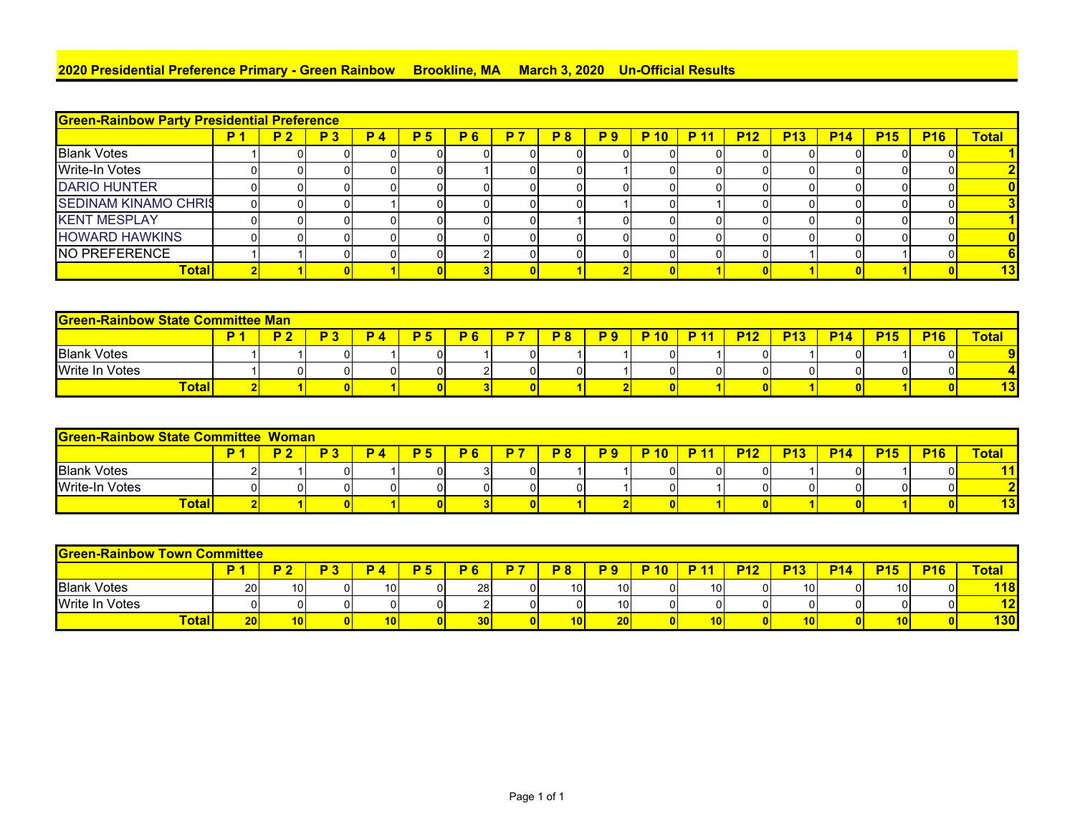## **2020 Presidential Preference Primary - Green Rainbow Brookline, MA March 3, 2020 Un-Official Results**

| <b>Green-Rainbow Party Presidential Preference</b> |           |     |    |                |           |     |           |            |             |             |            |            |            |            |            |              |
|----------------------------------------------------|-----------|-----|----|----------------|-----------|-----|-----------|------------|-------------|-------------|------------|------------|------------|------------|------------|--------------|
|                                                    | <b>P2</b> | P 3 | D. | P <sub>5</sub> | <b>P6</b> | P 7 | <b>P8</b> | <b>P</b> 9 | <b>P</b> 10 | <b>P</b> 11 | <b>P12</b> | <b>P13</b> | <b>P14</b> | <b>P15</b> | <b>P16</b> | <b>Total</b> |
| <b>Blank Votes</b>                                 |           | υı  |    |                |           |     |           |            |             |             |            |            |            |            |            |              |
| <b>Write-In Votes</b>                              |           | 01  |    |                |           |     |           |            |             |             |            |            |            |            |            |              |
| <b>DARIO HUNTER</b>                                |           | 01  |    |                |           |     |           |            |             |             |            |            |            |            |            |              |
| <b>SEDINAM KINAMO CHRIS</b>                        |           | 01  |    |                |           |     |           |            |             |             |            |            |            |            |            |              |
| <b>KENT MESPLAY</b>                                |           |     |    |                |           |     |           |            |             |             |            |            |            |            |            |              |
| <b>HOWARD HAWKINS</b>                              |           | 0   | ΩI |                |           |     |           |            |             |             |            |            |            |            |            |              |
| NO PREFERENCE                                      |           | 01  | ΟI |                |           |     |           |            |             |             |            |            |            |            |            |              |
| Total                                              |           |     |    |                |           |     |           |            |             |             |            |            |            |            |            | 13           |

|                                                                                                                                              | <b>Green-Rainbow State Committee Man</b> |  |  |  |  |  |  |    |  |    |  |  |  |  |              |    |     |
|----------------------------------------------------------------------------------------------------------------------------------------------|------------------------------------------|--|--|--|--|--|--|----|--|----|--|--|--|--|--------------|----|-----|
| n.<br><b>P16</b><br><b>P</b> 10<br><b>P15</b><br><b>P12</b><br><b>P13</b><br>פ ם<br><b>P6</b><br><b>P14</b><br><b>P8</b><br>D<br><b>D</b> 11 |                                          |  |  |  |  |  |  |    |  |    |  |  |  |  | <b>Total</b> |    |     |
| <b>Blank Votes</b>                                                                                                                           |                                          |  |  |  |  |  |  |    |  | ΩI |  |  |  |  |              | ΟI |     |
| <b>Write In Votes</b>                                                                                                                        |                                          |  |  |  |  |  |  | ΩI |  | ΩI |  |  |  |  |              | ΟI |     |
| Total,                                                                                                                                       |                                          |  |  |  |  |  |  |    |  |    |  |  |  |  |              |    | 4 A |

|                       | <b>Green-Rainbow State Committee Woman</b>                                                                                                   |  |  |  |  |    |                |  |  |  |    |  |  |  |  |              |           |
|-----------------------|----------------------------------------------------------------------------------------------------------------------------------------------|--|--|--|--|----|----------------|--|--|--|----|--|--|--|--|--------------|-----------|
|                       | <b>P15</b><br><b>P16</b><br><b>P14</b><br>n o<br><b>D<sub>12</sub></b><br><b>P13</b><br>פ ם<br><b>DO</b><br>D.<br>P 6<br><u>P 10</u><br>D 44 |  |  |  |  |    |                |  |  |  |    |  |  |  |  | <b>Total</b> |           |
| <b>Blank Votes</b>    |                                                                                                                                              |  |  |  |  |    | $\overline{0}$ |  |  |  | 01 |  |  |  |  |              | 11        |
| <b>Write-In Votes</b> |                                                                                                                                              |  |  |  |  | ΟI | ΩI             |  |  |  |    |  |  |  |  | 01           | $\bullet$ |
| <b>Total</b>          |                                                                                                                                              |  |  |  |  |    |                |  |  |  |    |  |  |  |  |              | 13        |

| <u>IGreen-Rainbow</u>                                                                                                                 | <b>Town Committee</b> |                 |  |                 |  |                 |  |                 |                 |  |                 |          |                 |  |                 |  |            |
|---------------------------------------------------------------------------------------------------------------------------------------|-----------------------|-----------------|--|-----------------|--|-----------------|--|-----------------|-----------------|--|-----------------|----------|-----------------|--|-----------------|--|------------|
| <b>P15</b><br>-<br><b>P16</b><br><b>D42</b><br>P14<br><b>D<sub>12</sub></b><br>D G<br>n a<br>P 10<br><b>MA</b><br>D<br>в.<br>o<br>. . |                       |                 |  |                 |  |                 |  |                 |                 |  |                 |          |                 |  | Total           |  |            |
| <b>Blank Votes</b>                                                                                                                    | 20                    | 10 <sup>1</sup> |  | 10 <sup>1</sup> |  | 28              |  | 10 <sup>1</sup> | 10 <sup>1</sup> |  | 10 <sup>1</sup> | $\Omega$ | 10 <sup>1</sup> |  | 10 <sub>1</sub> |  | <b>118</b> |
| <b>Write In Votes</b>                                                                                                                 | $\Omega$              | 01              |  |                 |  | ⌒               |  | ΩI              | 10 <sup>1</sup> |  | 01              |          | ΩI              |  |                 |  | 12         |
| Total                                                                                                                                 | 20 <sub>h</sub>       | 10 <sub>h</sub> |  | 10 <sub>1</sub> |  | 30 <sup>1</sup> |  | 10 <sub>l</sub> | 20 <sub>l</sub> |  | 10 <sup>1</sup> |          | 10 <sub>1</sub> |  |                 |  | 130        |